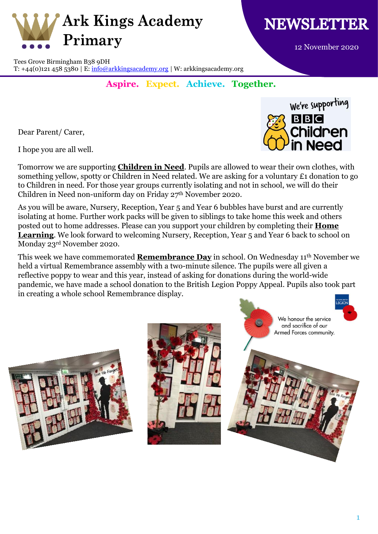



We're supporting

**Children** 

in Need

**BBC** 

12 November 2020

Tees Grove Birmingham B38 9DH T: +44(0)121 458 5380 | E:  $\frac{info@arkkingsacademy.org}{W: arkkingsacademy.org}$ 

## **Aspire. Expect. Achieve. Together.**

Dear Parent/ Carer,

I hope you are all well.

Tomorrow we are supporting **Children in Need**. Pupils are allowed to wear their own clothes, with something yellow, spotty or Children in Need related. We are asking for a voluntary £1 donation to go to Children in need. For those year groups currently isolating and not in school, we will do their Children in Need non-uniform day on Friday 27th November 2020.

As you will be aware, Nursery, Reception, Year 5 and Year 6 bubbles have burst and are currently isolating at home. Further work packs will be given to siblings to take home this week and others posted out to home addresses. Please can you support your children by completing their **Home Learning**. We look forward to welcoming Nursery, Reception, Year 5 and Year 6 back to school on Monday 23rd November 2020.

This week we have commemorated **Remembrance Day** in school. On Wednesday 11th November we held a virtual Remembrance assembly with a two-minute silence. The pupils were all given a reflective poppy to wear and this year, instead of asking for donations during the world-wide pandemic, we have made a school donation to the British Legion Poppy Appeal. Pupils also took part in creating a whole school Remembrance display.